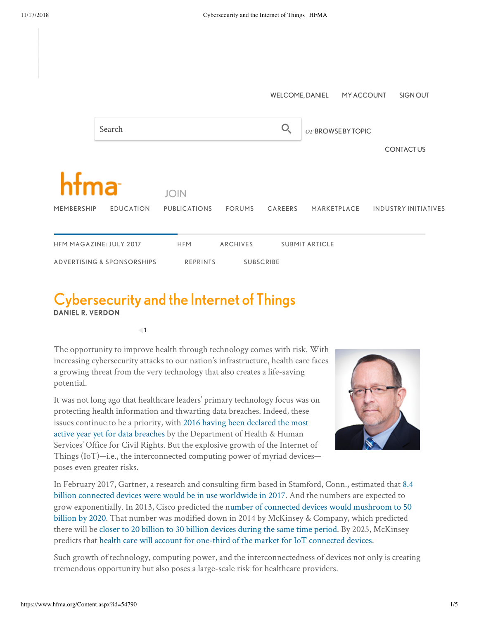

## Cybersecurity and the Internet of Things DANIEL R. VERDON

**1**

The opportunity to improve health through technology comes with risk. With increasing cybersecurity attacks to our nation's infrastructure, health care faces a growing threat from the very technology that also creates a life-saving potential.

It was not long ago that healthcare leaders' primary technology focus was on protecting health information and thwarting data breaches. Indeed, these [issues continue to be a priority, with 2016 having been declared the most](http://www.hipaajournal.com/largest-healthcare-data-breaches-of-2016-8631/) active year yet for data breaches by the Department of Health & Human Services' Office for Civil Rights. But the explosive growth of the Internet of Things (IoT)—i.e., the interconnected computing power of myriad devices poses even greater risks.



[In February 2017, Gartner, a research and consulting firm based in Stamford, Conn., estimated that 8.4](http://www.gartner.com/newsroom/id/3598917) billion connected devices were would be in use worldwide in 2017. And the numbers are expected to [grow exponentially. In 2013, Cisco predicted the number of connected devices would mushroom to 50](http://blogs.cisco.com/news/cisco-connections-counter) billion by 2020. That number was modified down in 2014 by McKinsey & Company, which predicted there will be [closer to 20 billion to 30 billion devices during the same time period.](http://www.mckinsey.com/industries/high-tech/our-insights/the-internet-of-things-sizing-up-the-opportunity) By 2025, McKinsey predicts that [health care will account for one-third of the market for IoT connected devices.](http://www.healthcareitnews.com/sponsored-content/iot-healthcare-really-internet-patients-iop)

Such growth of technology, computing power, and the interconnectedness of devices not only is creating tremendous opportunity but also poses a large-scale risk for healthcare providers.